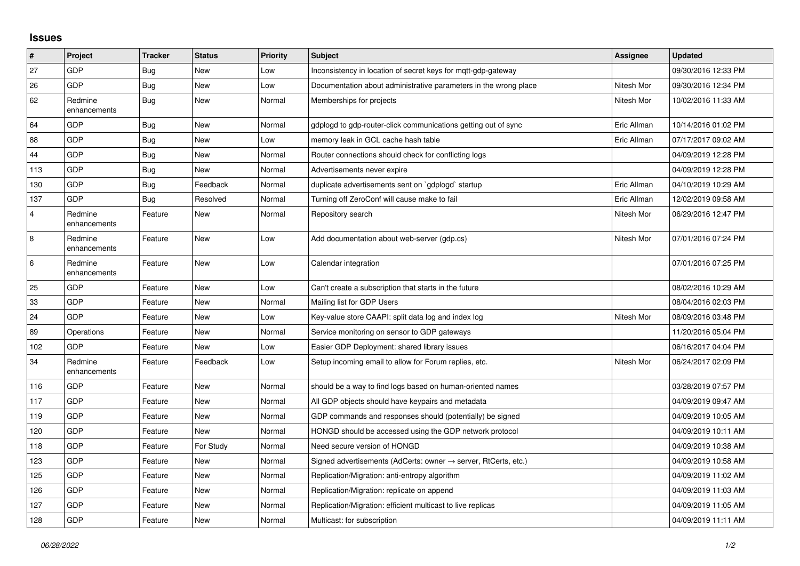## **Issues**

| #              | Project                 | <b>Tracker</b> | <b>Status</b> | <b>Priority</b> | <b>Subject</b>                                                             | Assignee    | <b>Updated</b>      |
|----------------|-------------------------|----------------|---------------|-----------------|----------------------------------------------------------------------------|-------------|---------------------|
| 27             | <b>GDP</b>              | <b>Bug</b>     | <b>New</b>    | Low             | Inconsistency in location of secret keys for mqtt-gdp-gateway              |             | 09/30/2016 12:33 PM |
| 26             | <b>GDP</b>              | <b>Bug</b>     | <b>New</b>    | Low             | Documentation about administrative parameters in the wrong place           | Nitesh Mor  | 09/30/2016 12:34 PM |
| 62             | Redmine<br>enhancements | <b>Bug</b>     | <b>New</b>    | Normal          | Memberships for projects                                                   | Nitesh Mor  | 10/02/2016 11:33 AM |
| 64             | <b>GDP</b>              | <b>Bug</b>     | <b>New</b>    | Normal          | gdplogd to gdp-router-click communications getting out of sync             | Eric Allman | 10/14/2016 01:02 PM |
| 88             | GDP                     | Bug            | New           | Low             | memory leak in GCL cache hash table                                        | Eric Allman | 07/17/2017 09:02 AM |
| 44             | <b>GDP</b>              | Bug            | <b>New</b>    | Normal          | Router connections should check for conflicting logs                       |             | 04/09/2019 12:28 PM |
| 113            | <b>GDP</b>              | <b>Bug</b>     | <b>New</b>    | Normal          | Advertisements never expire                                                |             | 04/09/2019 12:28 PM |
| 130            | <b>GDP</b>              | Bug            | Feedback      | Normal          | duplicate advertisements sent on `gdplogd` startup                         | Eric Allman | 04/10/2019 10:29 AM |
| 137            | <b>GDP</b>              | Bug            | Resolved      | Normal          | Turning off ZeroConf will cause make to fail                               | Eric Allman | 12/02/2019 09:58 AM |
| $\overline{4}$ | Redmine<br>enhancements | Feature        | <b>New</b>    | Normal          | Repository search                                                          | Nitesh Mor  | 06/29/2016 12:47 PM |
| 8              | Redmine<br>enhancements | Feature        | New           | Low             | Add documentation about web-server (gdp.cs)                                | Nitesh Mor  | 07/01/2016 07:24 PM |
| 6              | Redmine<br>enhancements | Feature        | <b>New</b>    | Low             | Calendar integration                                                       |             | 07/01/2016 07:25 PM |
| 25             | <b>GDP</b>              | Feature        | <b>New</b>    | Low             | Can't create a subscription that starts in the future                      |             | 08/02/2016 10:29 AM |
| 33             | GDP                     | Feature        | <b>New</b>    | Normal          | Mailing list for GDP Users                                                 |             | 08/04/2016 02:03 PM |
| 24             | <b>GDP</b>              | Feature        | <b>New</b>    | Low             | Key-value store CAAPI: split data log and index log                        | Nitesh Mor  | 08/09/2016 03:48 PM |
| 89             | Operations              | Feature        | <b>New</b>    | Normal          | Service monitoring on sensor to GDP gateways                               |             | 11/20/2016 05:04 PM |
| 102            | <b>GDP</b>              | Feature        | <b>New</b>    | Low             | Easier GDP Deployment: shared library issues                               |             | 06/16/2017 04:04 PM |
| 34             | Redmine<br>enhancements | Feature        | Feedback      | Low             | Setup incoming email to allow for Forum replies, etc.                      | Nitesh Mor  | 06/24/2017 02:09 PM |
| 116            | <b>GDP</b>              | Feature        | <b>New</b>    | Normal          | should be a way to find logs based on human-oriented names                 |             | 03/28/2019 07:57 PM |
| 117            | <b>GDP</b>              | Feature        | <b>New</b>    | Normal          | All GDP objects should have keypairs and metadata                          |             | 04/09/2019 09:47 AM |
| 119            | GDP                     | Feature        | New           | Normal          | GDP commands and responses should (potentially) be signed                  |             | 04/09/2019 10:05 AM |
| 120            | <b>GDP</b>              | Feature        | <b>New</b>    | Normal          | HONGD should be accessed using the GDP network protocol                    |             | 04/09/2019 10:11 AM |
| 118            | GDP                     | Feature        | For Study     | Normal          | Need secure version of HONGD                                               |             | 04/09/2019 10:38 AM |
| 123            | GDP                     | Feature        | <b>New</b>    | Normal          | Signed advertisements (AdCerts: owner $\rightarrow$ server, RtCerts, etc.) |             | 04/09/2019 10:58 AM |
| 125            | <b>GDP</b>              | Feature        | <b>New</b>    | Normal          | Replication/Migration: anti-entropy algorithm                              |             | 04/09/2019 11:02 AM |
| 126            | <b>GDP</b>              | Feature        | <b>New</b>    | Normal          | Replication/Migration: replicate on append                                 |             | 04/09/2019 11:03 AM |
| 127            | GDP                     | Feature        | New           | Normal          | Replication/Migration: efficient multicast to live replicas                |             | 04/09/2019 11:05 AM |
| 128            | GDP                     | Feature        | <b>New</b>    | Normal          | Multicast: for subscription                                                |             | 04/09/2019 11:11 AM |